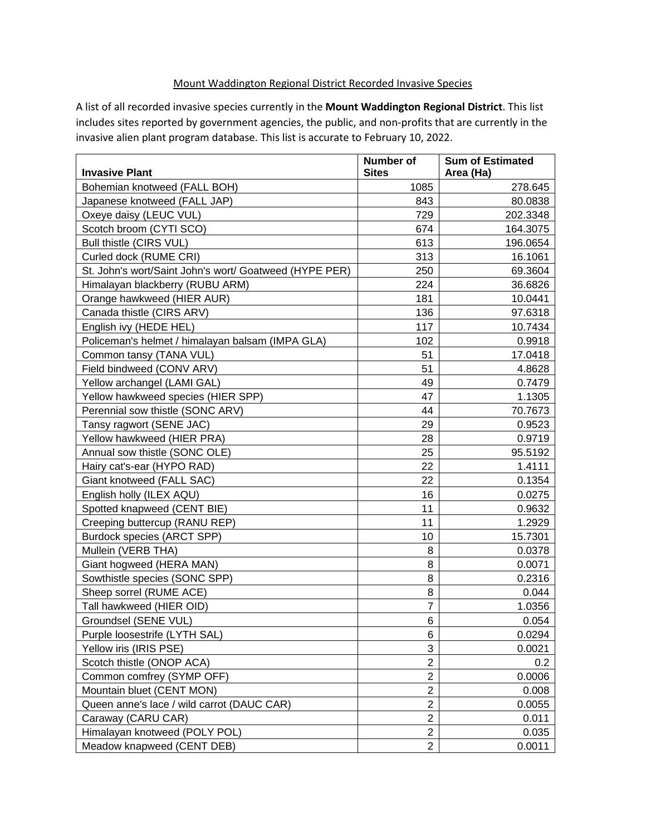## Mount Waddington Regional District Recorded Invasive Species

A list of all recorded invasive species currently in the **Mount Waddington Regional District**. This list includes sites reported by government agencies, the public, and non-profits that are currently in the invasive alien plant program database. This list is accurate to February 10, 2022.

| <b>Invasive Plant</b>                                  | <b>Number of</b><br><b>Sites</b> | <b>Sum of Estimated</b><br>Area (Ha) |
|--------------------------------------------------------|----------------------------------|--------------------------------------|
| Bohemian knotweed (FALL BOH)                           | 1085                             | 278.645                              |
| Japanese knotweed (FALL JAP)                           | 843                              | 80.0838                              |
| Oxeye daisy (LEUC VUL)                                 | 729                              | 202.3348                             |
| Scotch broom (CYTI SCO)                                | 674                              | 164.3075                             |
| Bull thistle (CIRS VUL)                                | 613                              | 196.0654                             |
| Curled dock (RUME CRI)                                 | 313                              | 16.1061                              |
| St. John's wort/Saint John's wort/ Goatweed (HYPE PER) | 250                              | 69.3604                              |
| Himalayan blackberry (RUBU ARM)                        | 224                              | 36.6826                              |
| Orange hawkweed (HIER AUR)                             | 181                              | 10.0441                              |
| Canada thistle (CIRS ARV)                              | 136                              | 97.6318                              |
| English ivy (HEDE HEL)                                 | 117                              | 10.7434                              |
| Policeman's helmet / himalayan balsam (IMPA GLA)       | 102                              | 0.9918                               |
| Common tansy (TANA VUL)                                | 51                               | 17.0418                              |
| Field bindweed (CONV ARV)                              | 51                               | 4.8628                               |
| Yellow archangel (LAMI GAL)                            | 49                               | 0.7479                               |
| Yellow hawkweed species (HIER SPP)                     | 47                               | 1.1305                               |
| Perennial sow thistle (SONC ARV)                       | 44                               | 70.7673                              |
| Tansy ragwort (SENE JAC)                               | 29                               | 0.9523                               |
| Yellow hawkweed (HIER PRA)                             | 28                               | 0.9719                               |
| Annual sow thistle (SONC OLE)                          | 25                               | 95.5192                              |
| Hairy cat's-ear (HYPO RAD)                             | 22                               | 1.4111                               |
| Giant knotweed (FALL SAC)                              | 22                               | 0.1354                               |
| English holly (ILEX AQU)                               | 16                               | 0.0275                               |
| Spotted knapweed (CENT BIE)                            | 11                               | 0.9632                               |
| Creeping buttercup (RANU REP)                          | 11                               | 1.2929                               |
| Burdock species (ARCT SPP)                             | 10                               | 15.7301                              |
| Mullein (VERB THA)                                     | 8                                | 0.0378                               |
| Giant hogweed (HERA MAN)                               | 8                                | 0.0071                               |
| Sowthistle species (SONC SPP)                          | 8                                | 0.2316                               |
| Sheep sorrel (RUME ACE)                                | 8                                | 0.044                                |
| Tall hawkweed (HIER OID)                               | 7                                | 1.0356                               |
| Groundsel (SENE VUL)                                   | 6                                | 0.054                                |
| Purple loosestrife (LYTH SAL)                          | 6                                | 0.0294                               |
| Yellow iris (IRIS PSE)                                 | 3                                | 0.0021                               |
| Scotch thistle (ONOP ACA)                              | $\overline{c}$                   | 0.2                                  |
| Common comfrey (SYMP OFF)                              | $\overline{2}$                   | 0.0006                               |
| Mountain bluet (CENT MON)                              | $\overline{2}$                   | 0.008                                |
| Queen anne's lace / wild carrot (DAUC CAR)             | $\overline{2}$                   | 0.0055                               |
| Caraway (CARU CAR)                                     | $\overline{2}$                   | 0.011                                |
| Himalayan knotweed (POLY POL)                          | $\overline{2}$                   | 0.035                                |
| Meadow knapweed (CENT DEB)                             | $\overline{2}$                   | 0.0011                               |